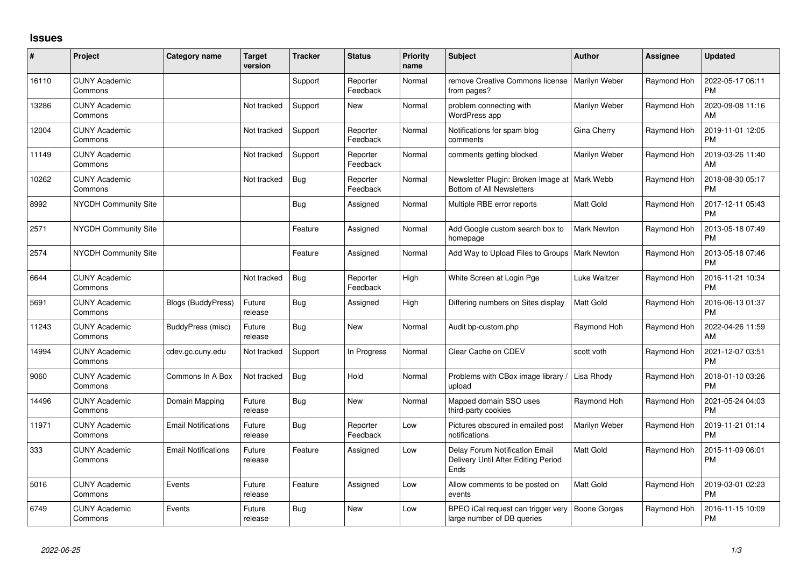## **Issues**

| #     | Project                         | Category name              | Target<br>version | <b>Tracker</b> | <b>Status</b>        | <b>Priority</b><br>name | <b>Subject</b>                                                                | <b>Author</b>    | Assignee    | <b>Updated</b>                |
|-------|---------------------------------|----------------------------|-------------------|----------------|----------------------|-------------------------|-------------------------------------------------------------------------------|------------------|-------------|-------------------------------|
| 16110 | <b>CUNY Academic</b><br>Commons |                            |                   | Support        | Reporter<br>Feedback | Normal                  | remove Creative Commons license<br>from pages?                                | Marilyn Weber    | Raymond Hoh | 2022-05-17 06:11<br><b>PM</b> |
| 13286 | <b>CUNY Academic</b><br>Commons |                            | Not tracked       | Support        | New                  | Normal                  | problem connecting with<br><b>WordPress app</b>                               | Marilyn Weber    | Raymond Hoh | 2020-09-08 11:16<br>AM        |
| 12004 | <b>CUNY Academic</b><br>Commons |                            | Not tracked       | Support        | Reporter<br>Feedback | Normal                  | Notifications for spam blog<br>comments                                       | Gina Cherry      | Raymond Hoh | 2019-11-01 12:05<br><b>PM</b> |
| 11149 | <b>CUNY Academic</b><br>Commons |                            | Not tracked       | Support        | Reporter<br>Feedback | Normal                  | comments getting blocked                                                      | Marilyn Weber    | Raymond Hoh | 2019-03-26 11:40<br>AM        |
| 10262 | <b>CUNY Academic</b><br>Commons |                            | Not tracked       | Bug            | Reporter<br>Feedback | Normal                  | Newsletter Plugin: Broken Image at   Mark Webb<br>Bottom of All Newsletters   |                  | Raymond Hoh | 2018-08-30 05:17<br><b>PM</b> |
| 8992  | NYCDH Community Site            |                            |                   | <b>Bug</b>     | Assigned             | Normal                  | Multiple RBE error reports                                                    | <b>Matt Gold</b> | Raymond Hoh | 2017-12-11 05:43<br><b>PM</b> |
| 2571  | <b>NYCDH Community Site</b>     |                            |                   | Feature        | Assigned             | Normal                  | Add Google custom search box to<br>homepage                                   | Mark Newton      | Raymond Hoh | 2013-05-18 07:49<br><b>PM</b> |
| 2574  | NYCDH Community Site            |                            |                   | Feature        | Assigned             | Normal                  | Add Way to Upload Files to Groups   Mark Newton                               |                  | Raymond Hoh | 2013-05-18 07:46<br>PM        |
| 6644  | <b>CUNY Academic</b><br>Commons |                            | Not tracked       | Bug            | Reporter<br>Feedback | High                    | White Screen at Login Pge                                                     | Luke Waltzer     | Raymond Hoh | 2016-11-21 10:34<br><b>PM</b> |
| 5691  | <b>CUNY Academic</b><br>Commons | <b>Blogs (BuddyPress)</b>  | Future<br>release | <b>Bug</b>     | Assigned             | High                    | Differing numbers on Sites display                                            | Matt Gold        | Raymond Hoh | 2016-06-13 01:37<br><b>PM</b> |
| 11243 | <b>CUNY Academic</b><br>Commons | BuddyPress (misc)          | Future<br>release | Bug            | New                  | Normal                  | Audit bp-custom.php                                                           | Raymond Hoh      | Raymond Hoh | 2022-04-26 11:59<br>AM        |
| 14994 | <b>CUNY Academic</b><br>Commons | cdev.gc.cuny.edu           | Not tracked       | Support        | In Progress          | Normal                  | Clear Cache on CDEV                                                           | scott voth       | Raymond Hoh | 2021-12-07 03:51<br><b>PM</b> |
| 9060  | <b>CUNY Academic</b><br>Commons | Commons In A Box           | Not tracked       | Bug            | Hold                 | Normal                  | Problems with CBox image library /<br>upload                                  | Lisa Rhody       | Raymond Hoh | 2018-01-10 03:26<br><b>PM</b> |
| 14496 | <b>CUNY Academic</b><br>Commons | Domain Mapping             | Future<br>release | Bug            | New                  | Normal                  | Mapped domain SSO uses<br>third-party cookies                                 | Raymond Hoh      | Raymond Hoh | 2021-05-24 04:03<br><b>PM</b> |
| 11971 | <b>CUNY Academic</b><br>Commons | <b>Email Notifications</b> | Future<br>release | <b>Bug</b>     | Reporter<br>Feedback | Low                     | Pictures obscured in emailed post<br>notifications                            | Marilyn Weber    | Raymond Hoh | 2019-11-21 01:14<br><b>PM</b> |
| 333   | <b>CUNY Academic</b><br>Commons | <b>Email Notifications</b> | Future<br>release | Feature        | Assigned             | Low                     | Delay Forum Notification Email<br>Delivery Until After Editing Period<br>Ends | Matt Gold        | Raymond Hoh | 2015-11-09 06:01<br><b>PM</b> |
| 5016  | <b>CUNY Academic</b><br>Commons | Events                     | Future<br>release | Feature        | Assigned             | Low                     | Allow comments to be posted on<br>events                                      | <b>Matt Gold</b> | Raymond Hoh | 2019-03-01 02:23<br><b>PM</b> |
| 6749  | <b>CUNY Academic</b><br>Commons | Events                     | Future<br>release | <b>Bug</b>     | New                  | Low                     | BPEO iCal request can trigger very<br>large number of DB queries              | Boone Gorges     | Raymond Hoh | 2016-11-15 10:09<br><b>PM</b> |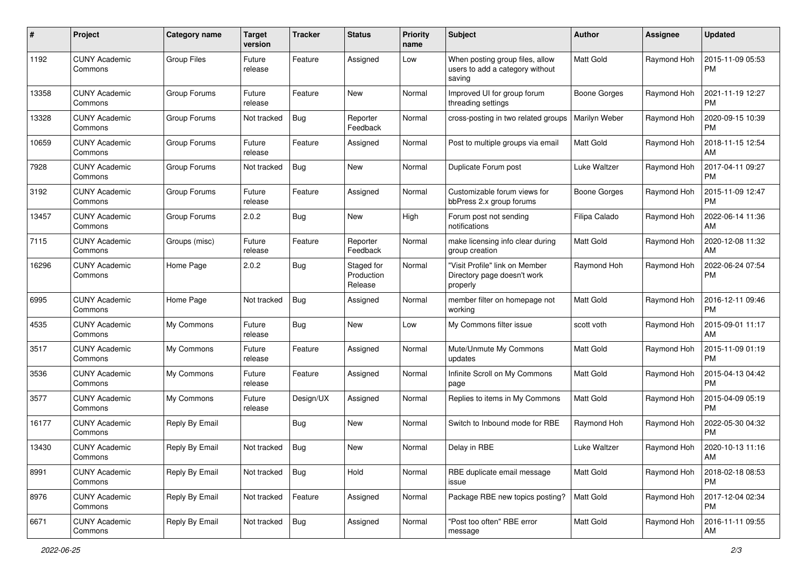| #     | Project                         | Category name  | <b>Target</b><br>version | <b>Tracker</b> | <b>Status</b>                       | <b>Priority</b><br>name | Subject                                                                      | <b>Author</b>       | Assignee    | <b>Updated</b>                |
|-------|---------------------------------|----------------|--------------------------|----------------|-------------------------------------|-------------------------|------------------------------------------------------------------------------|---------------------|-------------|-------------------------------|
| 1192  | <b>CUNY Academic</b><br>Commons | Group Files    | Future<br>release        | Feature        | Assigned                            | Low                     | When posting group files, allow<br>users to add a category without<br>saving | Matt Gold           | Raymond Hoh | 2015-11-09 05:53<br><b>PM</b> |
| 13358 | <b>CUNY Academic</b><br>Commons | Group Forums   | Future<br>release        | Feature        | <b>New</b>                          | Normal                  | Improved UI for group forum<br>threading settings                            | <b>Boone Gorges</b> | Raymond Hoh | 2021-11-19 12:27<br><b>PM</b> |
| 13328 | <b>CUNY Academic</b><br>Commons | Group Forums   | Not tracked              | Bug            | Reporter<br>Feedback                | Normal                  | cross-posting in two related groups                                          | Marilyn Weber       | Raymond Hoh | 2020-09-15 10:39<br><b>PM</b> |
| 10659 | <b>CUNY Academic</b><br>Commons | Group Forums   | Future<br>release        | Feature        | Assigned                            | Normal                  | Post to multiple groups via email                                            | <b>Matt Gold</b>    | Raymond Hoh | 2018-11-15 12:54<br>AM        |
| 7928  | <b>CUNY Academic</b><br>Commons | Group Forums   | Not tracked              | Bug            | New                                 | Normal                  | Duplicate Forum post                                                         | Luke Waltzer        | Raymond Hoh | 2017-04-11 09:27<br><b>PM</b> |
| 3192  | <b>CUNY Academic</b><br>Commons | Group Forums   | Future<br>release        | Feature        | Assigned                            | Normal                  | Customizable forum views for<br>bbPress 2.x group forums                     | Boone Gorges        | Raymond Hoh | 2015-11-09 12:47<br>PM        |
| 13457 | <b>CUNY Academic</b><br>Commons | Group Forums   | 2.0.2                    | Bug            | <b>New</b>                          | High                    | Forum post not sending<br>notifications                                      | Filipa Calado       | Raymond Hoh | 2022-06-14 11:36<br>AM        |
| 7115  | <b>CUNY Academic</b><br>Commons | Groups (misc)  | Future<br>release        | Feature        | Reporter<br>Feedback                | Normal                  | make licensing info clear during<br>group creation                           | <b>Matt Gold</b>    | Raymond Hoh | 2020-12-08 11:32<br>AM        |
| 16296 | <b>CUNY Academic</b><br>Commons | Home Page      | 2.0.2                    | Bug            | Staged for<br>Production<br>Release | Normal                  | "Visit Profile" link on Member<br>Directory page doesn't work<br>properly    | Raymond Hoh         | Raymond Hoh | 2022-06-24 07:54<br><b>PM</b> |
| 6995  | <b>CUNY Academic</b><br>Commons | Home Page      | Not tracked              | Bug            | Assigned                            | Normal                  | member filter on homepage not<br>working                                     | <b>Matt Gold</b>    | Raymond Hoh | 2016-12-11 09:46<br><b>PM</b> |
| 4535  | <b>CUNY Academic</b><br>Commons | My Commons     | Future<br>release        | Bug            | New                                 | Low                     | My Commons filter issue                                                      | scott voth          | Raymond Hoh | 2015-09-01 11:17<br>AM        |
| 3517  | <b>CUNY Academic</b><br>Commons | My Commons     | Future<br>release        | Feature        | Assigned                            | Normal                  | Mute/Unmute My Commons<br>updates                                            | <b>Matt Gold</b>    | Raymond Hoh | 2015-11-09 01:19<br><b>PM</b> |
| 3536  | <b>CUNY Academic</b><br>Commons | My Commons     | Future<br>release        | Feature        | Assigned                            | Normal                  | Infinite Scroll on My Commons<br>page                                        | <b>Matt Gold</b>    | Raymond Hoh | 2015-04-13 04:42<br><b>PM</b> |
| 3577  | <b>CUNY Academic</b><br>Commons | My Commons     | Future<br>release        | Design/UX      | Assigned                            | Normal                  | Replies to items in My Commons                                               | Matt Gold           | Raymond Hoh | 2015-04-09 05:19<br><b>PM</b> |
| 16177 | <b>CUNY Academic</b><br>Commons | Reply By Email |                          | Bug            | New                                 | Normal                  | Switch to Inbound mode for RBE                                               | Raymond Hoh         | Raymond Hoh | 2022-05-30 04:32<br><b>PM</b> |
| 13430 | <b>CUNY Academic</b><br>Commons | Reply By Email | Not tracked              | <b>Bug</b>     | New                                 | Normal                  | Delay in RBE                                                                 | Luke Waltzer        | Raymond Hoh | 2020-10-13 11:16<br>AM        |
| 8991  | <b>CUNY Academic</b><br>Commons | Reply By Email | Not tracked              | Bug            | Hold                                | Normal                  | RBE duplicate email message<br>issue                                         | Matt Gold           | Raymond Hoh | 2018-02-18 08:53<br>PM        |
| 8976  | <b>CUNY Academic</b><br>Commons | Reply By Email | Not tracked              | Feature        | Assigned                            | Normal                  | Package RBE new topics posting?   Matt Gold                                  |                     | Raymond Hoh | 2017-12-04 02:34<br><b>PM</b> |
| 6671  | <b>CUNY Academic</b><br>Commons | Reply By Email | Not tracked              | Bug            | Assigned                            | Normal                  | "Post too often" RBE error<br>message                                        | Matt Gold           | Raymond Hoh | 2016-11-11 09:55<br>AM        |